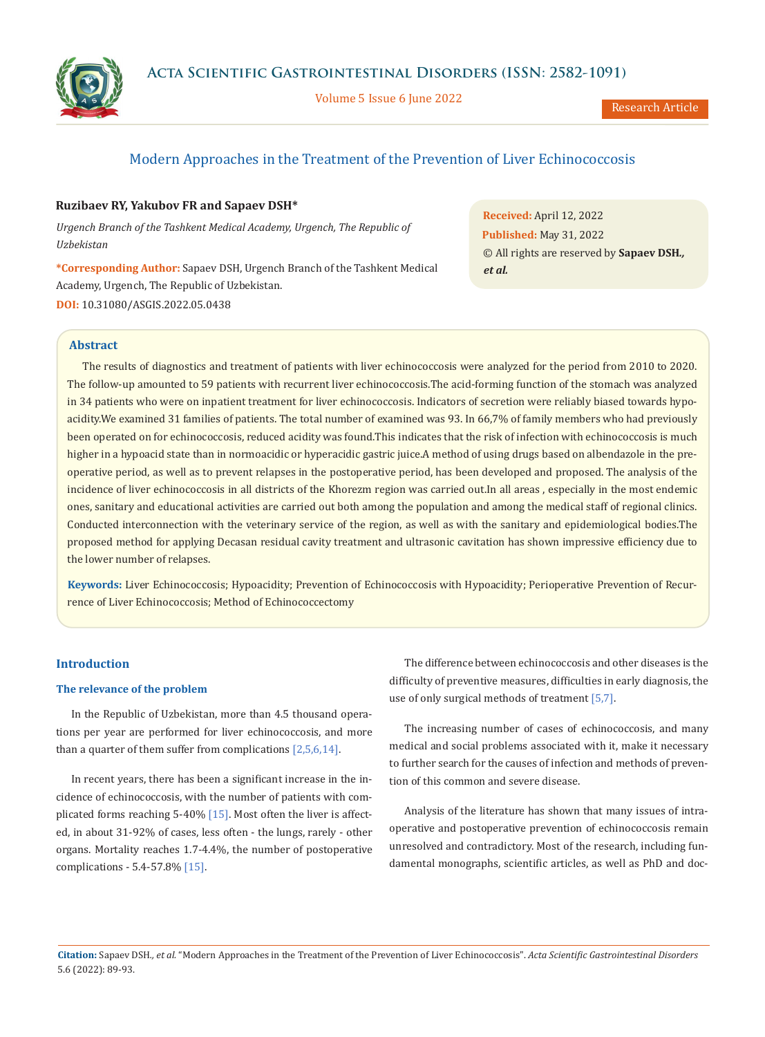

Volume 5 Issue 6 June 2022

Research Article

# Modern Approaches in the Treatment of the Prevention of Liver Echinococcosis

## **Ruzibaev RY, Yakubov FR and Sapaev DSH\***

*Urgench Branch of the Tashkent Medical Academy, Urgench, The Republic of Uzbekistan*

**\*Corresponding Author:** Sapaev DSH, Urgench Branch of the Tashkent Medical Academy, Urgench, The Republic of Uzbekistan. **DOI:** [10.31080/ASGIS.2022.05.0438](https://actascientific.com/ASGIS/pdf/ASGIS-05-0438.pdf)

**Received:** April 12, 2022 **Published:** May 31, 2022 © All rights are reserved by **Sapaev DSH***., et al.*

## **Abstract**

The results of diagnostics and treatment of patients with liver echinococcosis were analyzed for the period from 2010 to 2020. The follow-up amounted to 59 patients with recurrent liver echinococcosis.The acid-forming function of the stomach was analyzed in 34 patients who were on inpatient treatment for liver echinococcosis. Indicators of secretion were reliably biased towards hypoacidity.We examined 31 families of patients. The total number of examined was 93. In 66,7% of family members who had previously been operated on for echinococcosis, reduced acidity was found.This indicates that the risk of infection with echinococcosis is much higher in a hypoacid state than in normoacidic or hyperacidic gastric juice.A method of using drugs based on albendazole in the preoperative period, as well as to prevent relapses in the postoperative period, has been developed and proposed. The analysis of the incidence of liver echinococcosis in all districts of the Khorezm region was carried out.In all areas , especially in the most endemic ones, sanitary and educational activities are carried out both among the population and among the medical staff of regional clinics. Conducted interconnection with the veterinary service of the region, as well as with the sanitary and epidemiological bodies.The proposed method for applying Decasan residual cavity treatment and ultrasonic cavitation has shown impressive efficiency due to the lower number of relapses.

**Keywords:** Liver Echinococcosis; Hypoacidity; Prevention of Echinococcosis with Hypoacidity; Perioperative Prevention of Recurrence of Liver Echinococcosis; Method of Echinococcectomy

## **Introduction**

#### **The relevance of the problem**

In the Republic of Uzbekistan, more than 4.5 thousand operations per year are performed for liver echinococcosis, and more than a quarter of them suffer from complications [2,5,6,14].

In recent years, there has been a significant increase in the incidence of echinococcosis, with the number of patients with complicated forms reaching 5-40% [15]. Most often the liver is affected, in about 31-92% of cases, less often - the lungs, rarely - other organs. Mortality reaches 1.7-4.4%, the number of postoperative complications - 5.4-57.8% [15].

The difference between echinococcosis and other diseases is the difficulty of preventive measures, difficulties in early diagnosis, the use of only surgical methods of treatment [5,7].

The increasing number of cases of echinococcosis, and many medical and social problems associated with it, make it necessary to further search for the causes of infection and methods of prevention of this common and severe disease.

Analysis of the literature has shown that many issues of intraoperative and postoperative prevention of echinococcosis remain unresolved and contradictory. Most of the research, including fundamental monographs, scientific articles, as well as PhD and doc-

**Citation:** Sapaev DSH*., et al.* "Modern Approaches in the Treatment of the Prevention of Liver Echinococcosis". *Acta Scientific Gastrointestinal Disorders*  5.6 (2022): 89-93.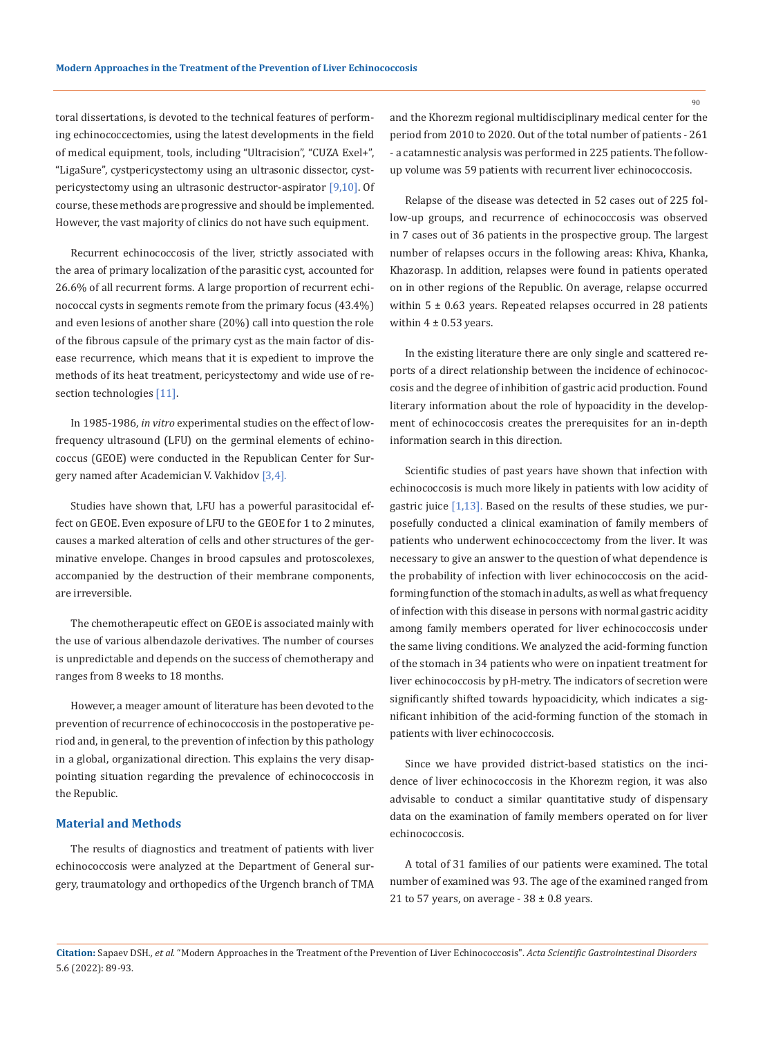toral dissertations, is devoted to the technical features of performing echinococcectomies, using the latest developments in the field of medical equipment, tools, including "Ultracision", "CUZA Exel+", "LigaSure", cystpericystectomy using an ultrasonic dissector, cystpericystectomy using an ultrasonic destructor-aspirator [9,10]. Of course, these methods are progressive and should be implemented. However, the vast majority of clinics do not have such equipment.

Recurrent echinococcosis of the liver, strictly associated with the area of primary localization of the parasitic cyst, accounted for 26.6% of all recurrent forms. A large proportion of recurrent echinococcal cysts in segments remote from the primary focus (43.4%) and even lesions of another share (20%) call into question the role of the fibrous capsule of the primary cyst as the main factor of disease recurrence, which means that it is expedient to improve the methods of its heat treatment, pericystectomy and wide use of resection technologies [11].

In 1985-1986, *in vitro* experimental studies on the effect of lowfrequency ultrasound (LFU) on the germinal elements of echinococcus (GEOE) were conducted in the Republican Center for Surgery named after Academician V. Vakhidov [3,4].

Studies have shown that, LFU has a powerful parasitocidal effect on GEOE. Even exposure of LFU to the GEOE for 1 to 2 minutes, causes a marked alteration of cells and other structures of the germinative envelope. Changes in brood capsules and protoscolexes, accompanied by the destruction of their membrane components, are irreversible.

The chemotherapeutic effect on GEOE is associated mainly with the use of various albendazole derivatives. The number of courses is unpredictable and depends on the success of chemotherapy and ranges from 8 weeks to 18 months.

However, a meager amount of literature has been devoted to the prevention of recurrence of echinococcosis in the postoperative period and, in general, to the prevention of infection by this pathology in a global, organizational direction. This explains the very disappointing situation regarding the prevalence of echinococcosis in the Republic.

#### **Material and Methods**

The results of diagnostics and treatment of patients with liver echinococcosis were analyzed at the Department of General surgery, traumatology and orthopedics of the Urgench branch of TMA and the Khorezm regional multidisciplinary medical center for the period from 2010 to 2020. Out of the total number of patients - 261 - a catamnestic analysis was performed in 225 patients. The followup volume was 59 patients with recurrent liver echinococcosis.

Relapse of the disease was detected in 52 cases out of 225 follow-up groups, and recurrence of echinococcosis was observed in 7 cases out of 36 patients in the prospective group. The largest number of relapses occurs in the following areas: Khiva, Khanka, Khazorasp. In addition, relapses were found in patients operated on in other regions of the Republic. On average, relapse occurred within  $5 \pm 0.63$  years. Repeated relapses occurred in 28 patients within  $4 \pm 0.53$  years.

In the existing literature there are only single and scattered reports of a direct relationship between the incidence of echinococcosis and the degree of inhibition of gastric acid production. Found literary information about the role of hypoacidity in the development of echinococcosis creates the prerequisites for an in-depth information search in this direction.

Scientific studies of past years have shown that infection with echinococcosis is much more likely in patients with low acidity of gastric juice  $[1,13]$ . Based on the results of these studies, we purposefully conducted a clinical examination of family members of patients who underwent echinococcectomy from the liver. It was necessary to give an answer to the question of what dependence is the probability of infection with liver echinococcosis on the acidforming function of the stomach in adults, as well as what frequency of infection with this disease in persons with normal gastric acidity among family members operated for liver echinococcosis under the same living conditions. We analyzed the acid-forming function of the stomach in 34 patients who were on inpatient treatment for liver echinococcosis by pH-metry. The indicators of secretion were significantly shifted towards hypoacidicity, which indicates a significant inhibition of the acid-forming function of the stomach in patients with liver echinococcosis.

Since we have provided district-based statistics on the incidence of liver echinococcosis in the Khorezm region, it was also advisable to conduct a similar quantitative study of dispensary data on the examination of family members operated on for liver echinococcosis.

A total of 31 families of our patients were examined. The total number of examined was 93. The age of the examined ranged from 21 to 57 years, on average -  $38 \pm 0.8$  years.

90

**Citation:** Sapaev DSH*., et al.* "Modern Approaches in the Treatment of the Prevention of Liver Echinococcosis". *Acta Scientific Gastrointestinal Disorders*  5.6 (2022): 89-93.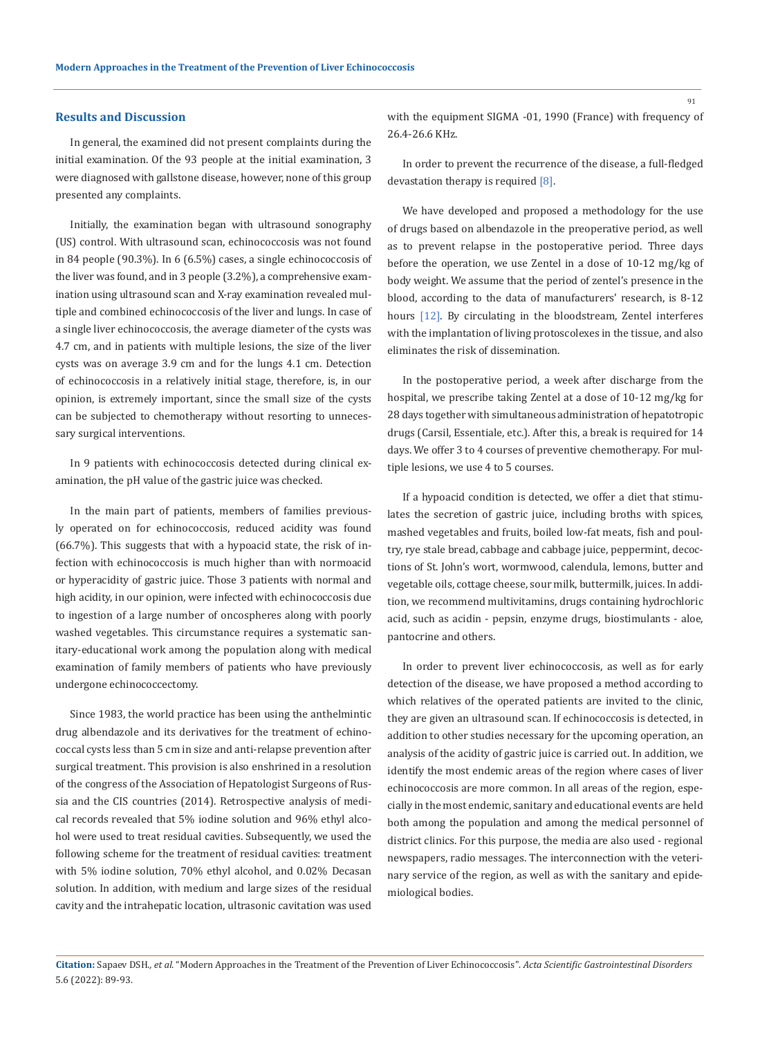#### **Results and Discussion**

In general, the examined did not present complaints during the initial examination. Of the 93 people at the initial examination, 3 were diagnosed with gallstone disease, however, none of this group presented any complaints.

Initially, the examination began with ultrasound sonography (US) control. With ultrasound scan, echinococcosis was not found in 84 people (90.3%). In 6 (6.5%) cases, a single echinococcosis of the liver was found, and in 3 people (3.2%), a comprehensive examination using ultrasound scan and X-ray examination revealed multiple and combined echinococcosis of the liver and lungs. In case of a single liver echinococcosis, the average diameter of the cysts was 4.7 cm, and in patients with multiple lesions, the size of the liver cysts was on average 3.9 cm and for the lungs 4.1 cm. Detection of echinococcosis in a relatively initial stage, therefore, is, in our opinion, is extremely important, since the small size of the cysts can be subjected to chemotherapy without resorting to unnecessary surgical interventions.

In 9 patients with echinococcosis detected during clinical examination, the pH value of the gastric juice was checked.

In the main part of patients, members of families previously operated on for echinococcosis, reduced acidity was found (66.7%). This suggests that with a hypoacid state, the risk of infection with echinococcosis is much higher than with normoacid or hyperacidity of gastric juice. Those 3 patients with normal and high acidity, in our opinion, were infected with echinococcosis due to ingestion of a large number of oncospheres along with poorly washed vegetables. This circumstance requires a systematic sanitary-educational work among the population along with medical examination of family members of patients who have previously undergone echinococcectomy.

Since 1983, the world practice has been using the anthelmintic drug albendazole and its derivatives for the treatment of echinococcal cysts less than 5 cm in size and anti-relapse prevention after surgical treatment. This provision is also enshrined in a resolution of the congress of the Association of Hepatologist Surgeons of Russia and the CIS countries (2014). Retrospective analysis of medical records revealed that 5% iodine solution and 96% ethyl alcohol were used to treat residual cavities. Subsequently, we used the following scheme for the treatment of residual cavities: treatment with 5% iodine solution, 70% ethyl alcohol, and 0.02% Decasan solution. In addition, with medium and large sizes of the residual cavity and the intrahepatic location, ultrasonic cavitation was used

with the equipment SIGMA -01, 1990 (France) with frequency of 26.4-26.6 KHz.

In order to prevent the recurrence of the disease, a full-fledged devastation therapy is required [8].

We have developed and proposed a methodology for the use of drugs based on albendazole in the preoperative period, as well as to prevent relapse in the postoperative period. Three days before the operation, we use Zentel in a dose of 10-12 mg/kg of body weight. We assume that the period of zentel's presence in the blood, according to the data of manufacturers' research, is 8-12 hours [12]. By circulating in the bloodstream, Zentel interferes with the implantation of living protoscolexes in the tissue, and also eliminates the risk of dissemination.

In the postoperative period, a week after discharge from the hospital, we prescribe taking Zentel at a dose of 10-12 mg/kg for 28 days together with simultaneous administration of hepatotropic drugs (Carsil, Essentiale, etc.). After this, a break is required for 14 days. We offer 3 to 4 courses of preventive chemotherapy. For multiple lesions, we use 4 to 5 courses.

If a hypoacid condition is detected, we offer a diet that stimulates the secretion of gastric juice, including broths with spices, mashed vegetables and fruits, boiled low-fat meats, fish and poultry, rye stale bread, cabbage and cabbage juice, peppermint, decoctions of St. John's wort, wormwood, calendula, lemons, butter and vegetable oils, cottage cheese, sour milk, buttermilk, juices. In addition, we recommend multivitamins, drugs containing hydrochloric acid, such as acidin - pepsin, enzyme drugs, biostimulants - aloe, pantocrine and others.

In order to prevent liver echinococcosis, as well as for early detection of the disease, we have proposed a method according to which relatives of the operated patients are invited to the clinic, they are given an ultrasound scan. If echinococcosis is detected, in addition to other studies necessary for the upcoming operation, an analysis of the acidity of gastric juice is carried out. In addition, we identify the most endemic areas of the region where cases of liver echinococcosis are more common. In all areas of the region, especially in the most endemic, sanitary and educational events are held both among the population and among the medical personnel of district clinics. For this purpose, the media are also used - regional newspapers, radio messages. The interconnection with the veterinary service of the region, as well as with the sanitary and epidemiological bodies.

91

**Citation:** Sapaev DSH*., et al.* "Modern Approaches in the Treatment of the Prevention of Liver Echinococcosis". *Acta Scientific Gastrointestinal Disorders*  5.6 (2022): 89-93.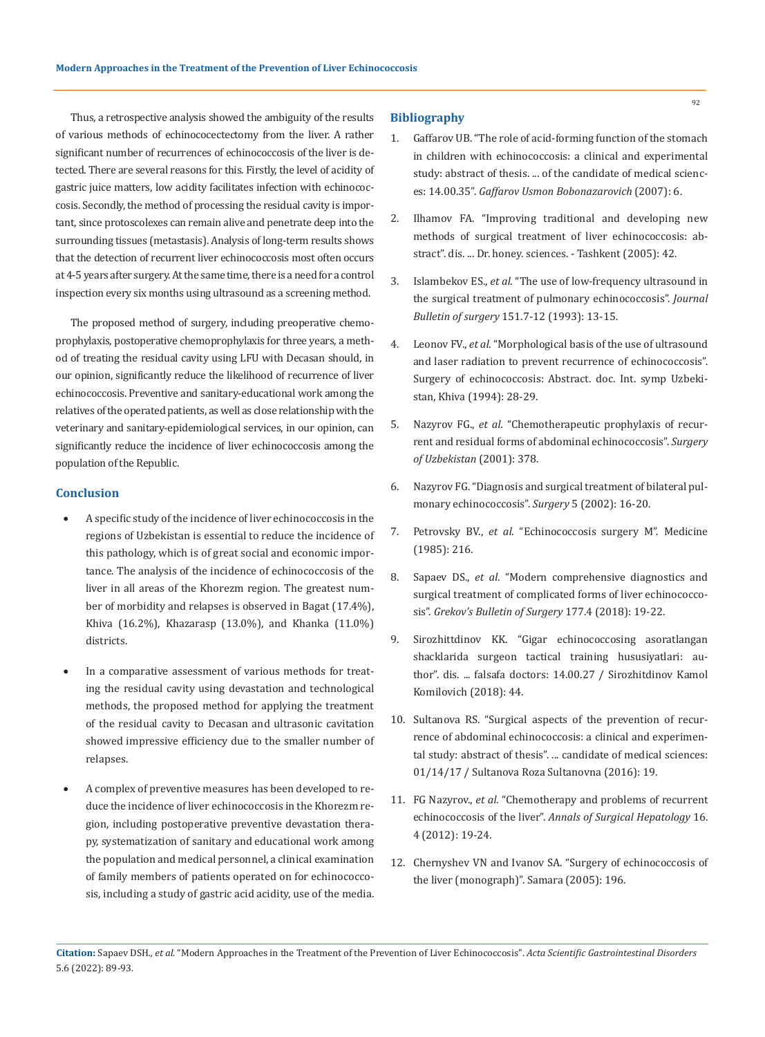Thus, a retrospective analysis showed the ambiguity of the results of various methods of echinococectectomy from the liver. A rather significant number of recurrences of echinococcosis of the liver is detected. There are several reasons for this. Firstly, the level of acidity of gastric juice matters, low acidity facilitates infection with echinococcosis. Secondly, the method of processing the residual cavity is important, since protoscolexes can remain alive and penetrate deep into the surrounding tissues (metastasis). Analysis of long-term results shows that the detection of recurrent liver echinococcosis most often occurs at 4-5 years after surgery. At the same time, there is a need for a control inspection every six months using ultrasound as a screening method.

The proposed method of surgery, including preoperative chemoprophylaxis, postoperative chemoprophylaxis for three years, a method of treating the residual cavity using LFU with Decasan should, in our opinion, significantly reduce the likelihood of recurrence of liver echinococcosis. Preventive and sanitary-educational work among the relatives of the operated patients, as well as close relationship with the veterinary and sanitary-epidemiological services, in our opinion, can significantly reduce the incidence of liver echinococcosis among the population of the Republic.

### **Conclusion**

- A specific study of the incidence of liver echinococcosis in the regions of Uzbekistan is essential to reduce the incidence of this pathology, which is of great social and economic importance. The analysis of the incidence of echinococcosis of the liver in all areas of the Khorezm region. The greatest number of morbidity and relapses is observed in Bagat (17.4%), Khiva (16.2%), Khazarasp (13.0%), and Khanka (11.0%) districts.
- In a comparative assessment of various methods for treating the residual cavity using devastation and technological methods, the proposed method for applying the treatment of the residual cavity to Decasan and ultrasonic cavitation showed impressive efficiency due to the smaller number of relapses.
- A complex of preventive measures has been developed to reduce the incidence of liver echinococcosis in the Khorezm region, including postoperative preventive devastation therapy, systematization of sanitary and educational work among the population and medical personnel, a clinical examination of family members of patients operated on for echinococcosis, including a study of gastric acid acidity, use of the media.

#### **Bibliography**

- 1. Gaffarov UB. "The role of acid-forming function of the stomach in children with echinococcosis: a clinical and experimental study: abstract of thesis. ... of the candidate of medical sciences: 14.00.35". *Gaffarov Usmon Bobonazarovich* (2007): 6.
- 2. Ilhamov FA. "Improving traditional and developing new methods of surgical treatment of liver echinococcosis: abstract". dis. ... Dr. honey. sciences. - Tashkent (2005): 42.
- 3. Islambekov ES., *et al*[. "The use of low-frequency ultrasound in](https://pubmed.ncbi.nlm.nih.gov/7975006/)  [the surgical treatment of pulmonary echinococcosis".](https://pubmed.ncbi.nlm.nih.gov/7975006/) *Journal Bulletin of surgery* [151.7-12 \(1993\): 13-15.](https://pubmed.ncbi.nlm.nih.gov/7975006/)
- 4. Leonov FV., *et al*. "Morphological basis of the use of ultrasound and laser radiation to prevent recurrence of echinococcosis". Surgery of echinococcosis: Abstract. doc. Int. symp Uzbekistan, Khiva (1994): 28-29.
- 5. Nazyrov FG., *et al*. "Chemotherapeutic prophylaxis of recurrent and residual forms of abdominal echinococcosis". *Surgery of Uzbekistan* (2001): 378.
- 6. Nazyrov FG."Diagnosis and surgical treatment of bilateral pulmonary echinococcosis". *Surgery* 5 (2002): 16-20.
- 7. Petrovsky BV., *et al*. "Echinococcosis surgery M". Medicine (1985): 216.
- 8. Sapaev DS., *et al*[. "Modern comprehensive diagnostics and](https://www.researchgate.net/publication/327577703_MODERN_COMPREHENSIVE_DIAGNOSTICS_AND_SURGICAL_TREATMENT_OF_COMPLICATED_FORMS_OF_LIVER_ECHINOCOCCOSIS)  [surgical treatment of complicated forms of liver echinococco](https://www.researchgate.net/publication/327577703_MODERN_COMPREHENSIVE_DIAGNOSTICS_AND_SURGICAL_TREATMENT_OF_COMPLICATED_FORMS_OF_LIVER_ECHINOCOCCOSIS)sis". *[Grekov's Bulletin of Surgery](https://www.researchgate.net/publication/327577703_MODERN_COMPREHENSIVE_DIAGNOSTICS_AND_SURGICAL_TREATMENT_OF_COMPLICATED_FORMS_OF_LIVER_ECHINOCOCCOSIS)* 177.4 (2018): 19-22.
- 9. Sirozhittdinov KK. "Gigar echinococcosing asoratlangan shacklarida surgeon tactical training hususiyatlari: author". dis. ... falsafa doctors: 14.00.27 / Sirozhitdinov Kamol Komilovich (2018): 44.
- 10. Sultanova RS. "Surgical aspects of the prevention of recurrence of abdominal echinococcosis: a clinical and experimental study: abstract of thesis". ... candidate of medical sciences: 01/14/17 / Sultanova Roza Sultanovna (2016): 19.
- 11. FG Nazyrov., *et al*. "Chemotherapy and problems of recurrent echinococcosis of the liver". *Annals of Surgical Hepatology* 16. 4 (2012): 19-24.
- 12. Chernyshev VN and Ivanov SA. "Surgery of echinococcosis of the liver (monograph)". Samara (2005): 196.

**Citation:** Sapaev DSH*., et al.* "Modern Approaches in the Treatment of the Prevention of Liver Echinococcosis". *Acta Scientific Gastrointestinal Disorders*  5.6 (2022): 89-93.